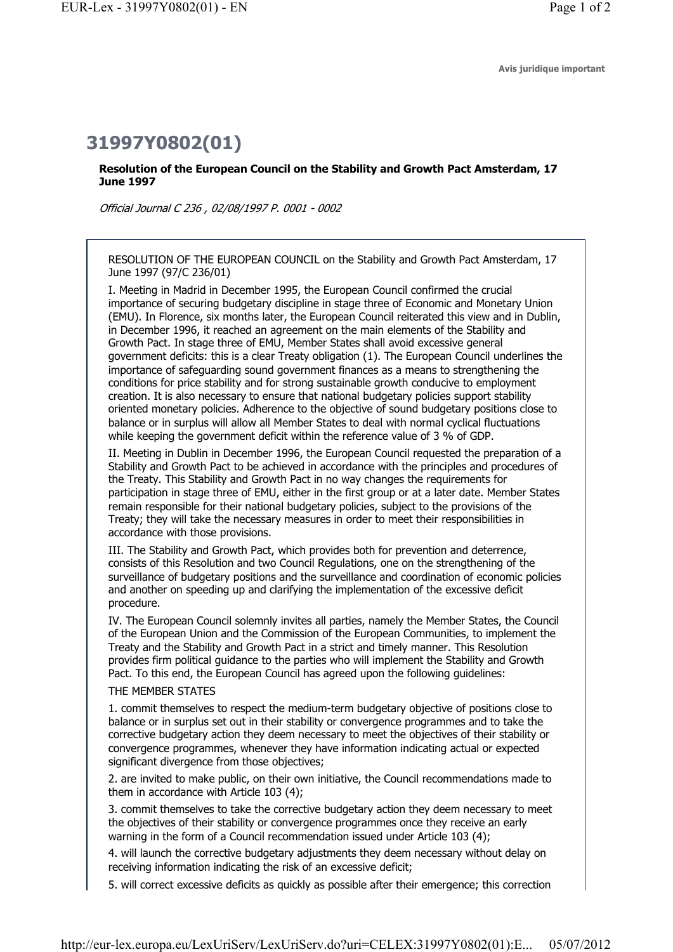## **31997Y0802(01)**

## **Resolution of the European Council on the Stability and Growth Pact Amsterdam, 17 June 1997**

Official Journal C 236 , 02/08/1997 P. 0001 - 0002

RESOLUTION OF THE EUROPEAN COUNCIL on the Stability and Growth Pact Amsterdam, 17 June 1997 (97/C 236/01)

I. Meeting in Madrid in December 1995, the European Council confirmed the crucial importance of securing budgetary discipline in stage three of Economic and Monetary Union (EMU). In Florence, six months later, the European Council reiterated this view and in Dublin, in December 1996, it reached an agreement on the main elements of the Stability and Growth Pact. In stage three of EMU, Member States shall avoid excessive general government deficits: this is a clear Treaty obligation (1). The European Council underlines the importance of safeguarding sound government finances as a means to strengthening the conditions for price stability and for strong sustainable growth conducive to employment creation. It is also necessary to ensure that national budgetary policies support stability oriented monetary policies. Adherence to the objective of sound budgetary positions close to balance or in surplus will allow all Member States to deal with normal cyclical fluctuations while keeping the government deficit within the reference value of 3 % of GDP.

II. Meeting in Dublin in December 1996, the European Council requested the preparation of a Stability and Growth Pact to be achieved in accordance with the principles and procedures of the Treaty. This Stability and Growth Pact in no way changes the requirements for participation in stage three of EMU, either in the first group or at a later date. Member States remain responsible for their national budgetary policies, subject to the provisions of the Treaty; they will take the necessary measures in order to meet their responsibilities in accordance with those provisions.

III. The Stability and Growth Pact, which provides both for prevention and deterrence, consists of this Resolution and two Council Regulations, one on the strengthening of the surveillance of budgetary positions and the surveillance and coordination of economic policies and another on speeding up and clarifying the implementation of the excessive deficit procedure.

IV. The European Council solemnly invites all parties, namely the Member States, the Council of the European Union and the Commission of the European Communities, to implement the Treaty and the Stability and Growth Pact in a strict and timely manner. This Resolution provides firm political guidance to the parties who will implement the Stability and Growth Pact. To this end, the European Council has agreed upon the following guidelines:

## THE MEMBER STATES

1. commit themselves to respect the medium-term budgetary objective of positions close to balance or in surplus set out in their stability or convergence programmes and to take the corrective budgetary action they deem necessary to meet the objectives of their stability or convergence programmes, whenever they have information indicating actual or expected significant divergence from those objectives;

2. are invited to make public, on their own initiative, the Council recommendations made to them in accordance with Article 103 (4);

3. commit themselves to take the corrective budgetary action they deem necessary to meet the objectives of their stability or convergence programmes once they receive an early warning in the form of a Council recommendation issued under Article 103 (4);

4. will launch the corrective budgetary adjustments they deem necessary without delay on receiving information indicating the risk of an excessive deficit;

5. will correct excessive deficits as quickly as possible after their emergence; this correction